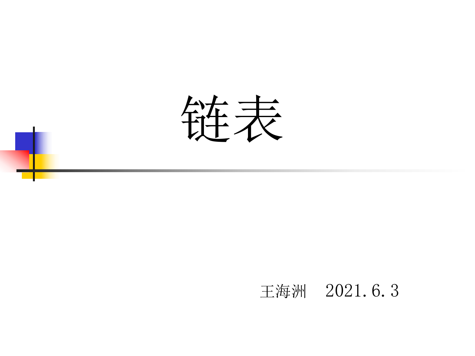

### 王海洲 2021.6.3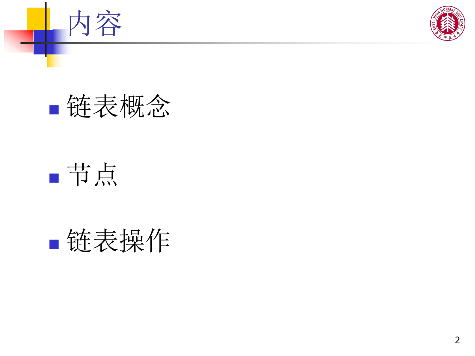



## 节点

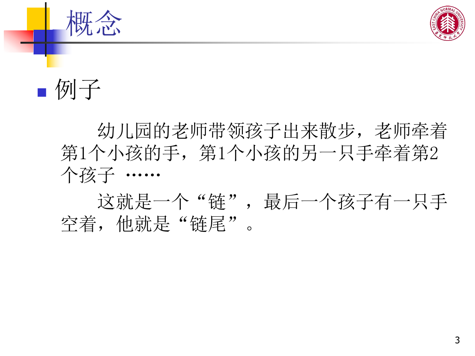

■例子 なんじょう しょうしょう しょうしょう しゅうしょう

幼儿园的老师带领孩子出来散步,老师牵着 第1个小孩的另一只手牵着第2 个孩子 ……

这就是一个 "链",最后一个孩子有一只手 空着,他就是"链尾"。  $\overline{\phantom{a}}$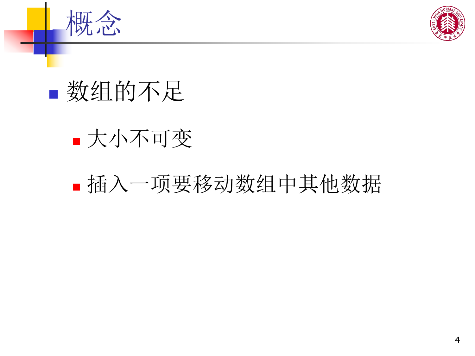



## 数组的不足

### 大小不可变

### 插入一项要移动数组中其他数据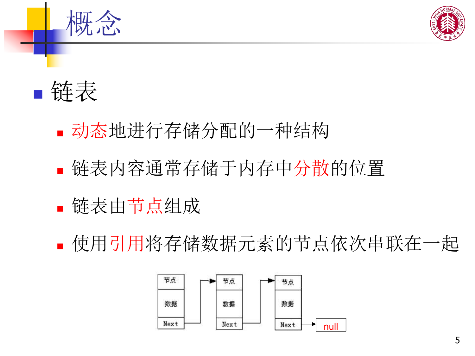



- 动态地进行存储分配的一种结构
- 链表内容通常存储于内存中分散的位置
- 链表由节点组成
- 使用引用将存储数据元素的节点依次串联在一起

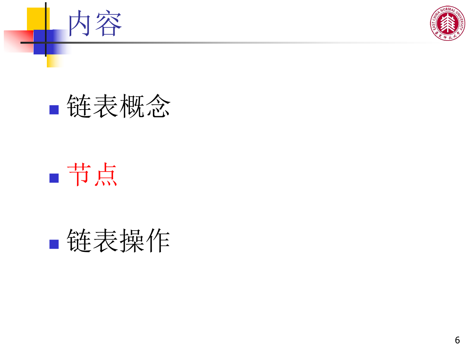



# 节点

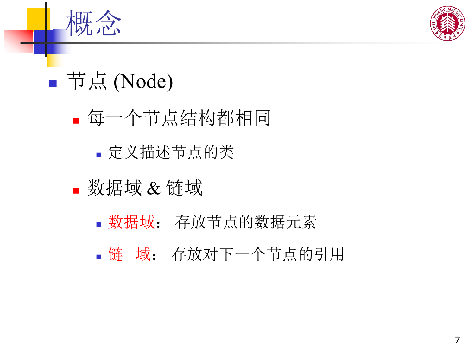

## ■节点 (Node)

- 每一个节点结构都相同
	- 定义描述节点的类
- 数据域 & 链域
	- 数据域: 存放节点的数据元素
	- 链 域: 存放对下一个节点的引用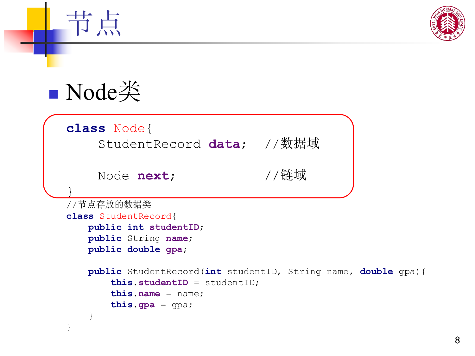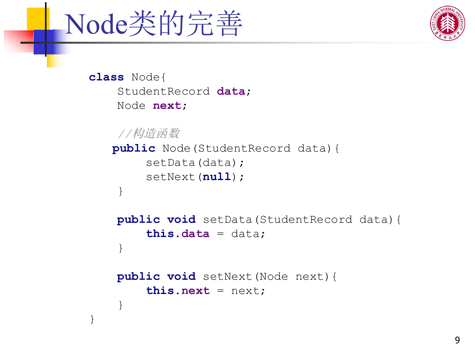

}



**class** Node{ StudentRecord **data**; Node **next**;

```
//构造函数
public Node(StudentRecord data){
   setData(data);
   setNext(null);
}
```

```
public void setData(StudentRecord data){
   this.data = data;
}
```

```
public void setNext(Node next){
   this.next = next;
}
```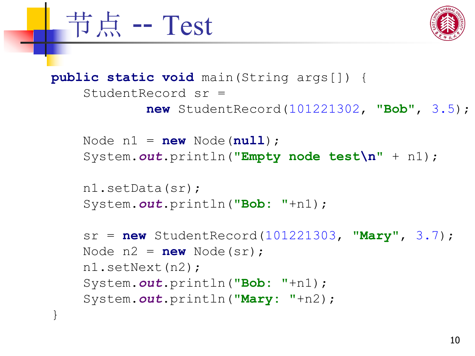



```
public static void main(String args[]) {
   StudentRecord sr =
           new StudentRecord(101221302,
"Bob"
, 3.5);
   Node n1 = new Node(null);
   System.out.println("Empty node test\n" + n1);
   n1.setData(sr);
   System.out.println("Bob: "+n1);
    sr = new StudentRecord(101221303,
"Mary"
, 3.7);
   Node n2 = new Node(sr);
   n1.setNext(n2);
   System.out.println("Bob: "+n1);
   System.out.println("Mary: "+n2);
}
```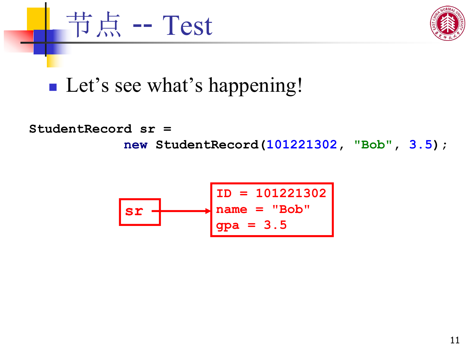

### **Let's see what's happening!**

节点 -- Test

**StudentRecord sr =**

**new StudentRecord(101221302, "Bob" , 3.5);**

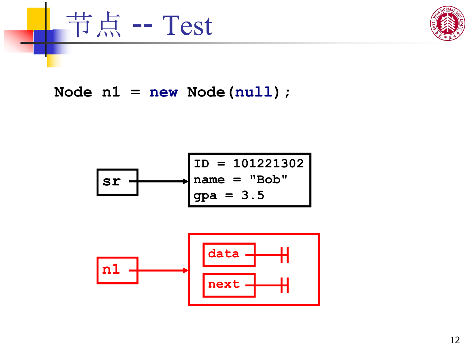

Node  $n1 = new Node(null)$ ;



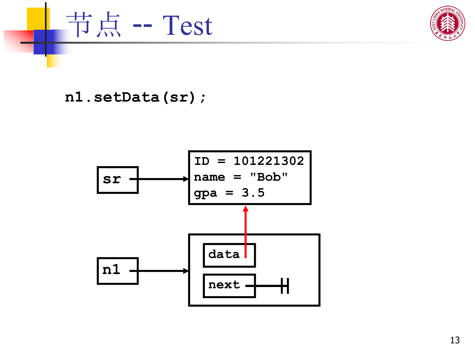



#### **n1.setData(sr);**

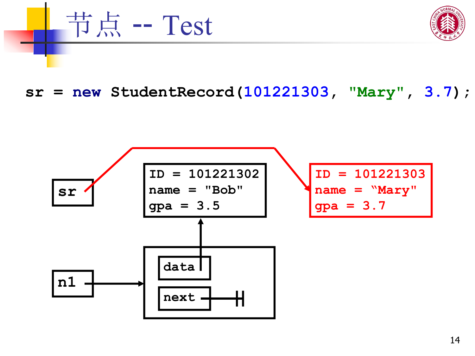

**sr = new StudentRecord(101221303, "Mary" , 3.7);**

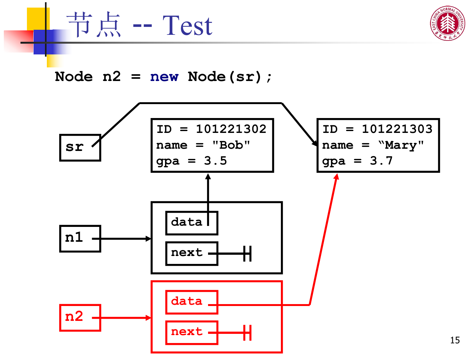



#### **Node n2 = new Node(sr);**

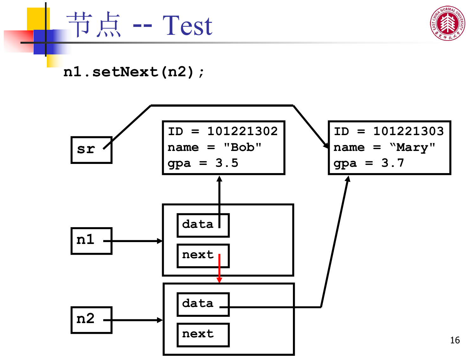



**n1.setNext(n2);**

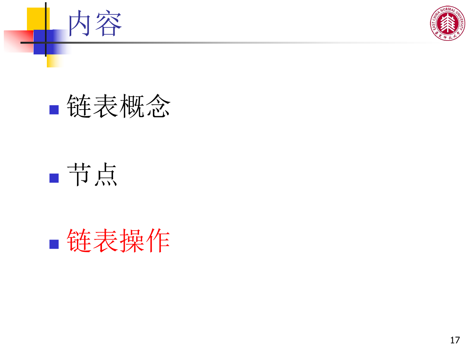



## 节点

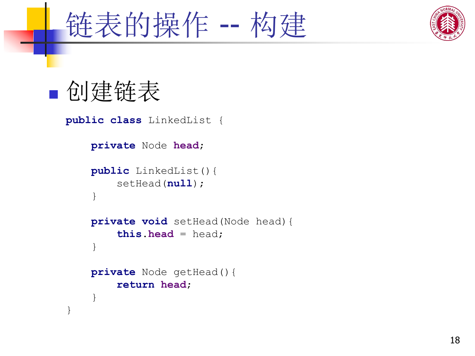



## 创建链表

}

```
public class LinkedList {
   private Node head;
   public LinkedList(){
      setHead(null);
   }
   private void setHead(Node head){
      this.head = head;
   }
   private Node getHead(){
      return head;
   }
```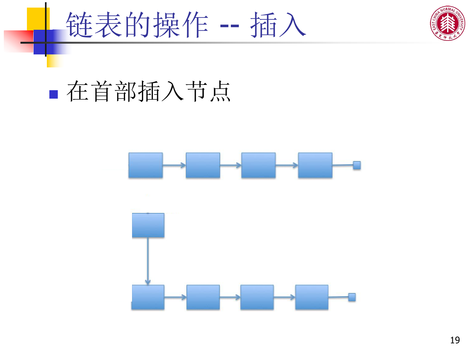



## 在首部插入节点

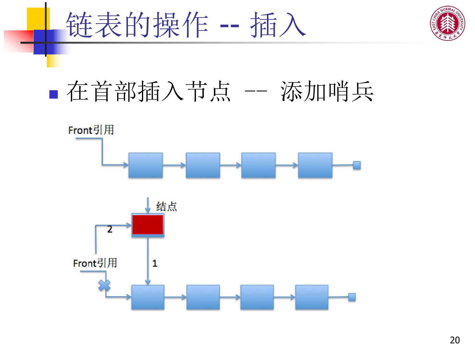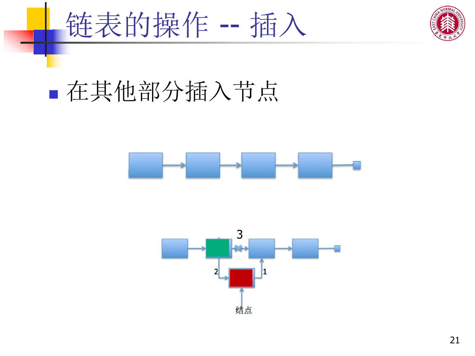



# 在其他部分插入节点



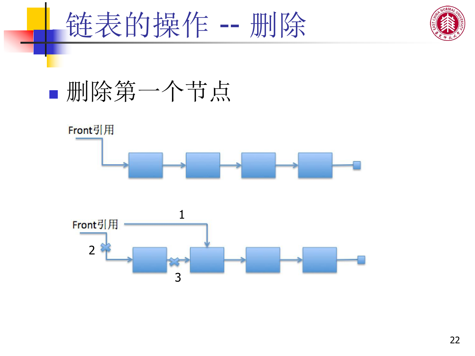





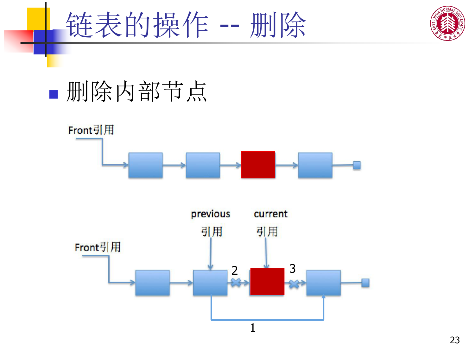



# 删除内部节点